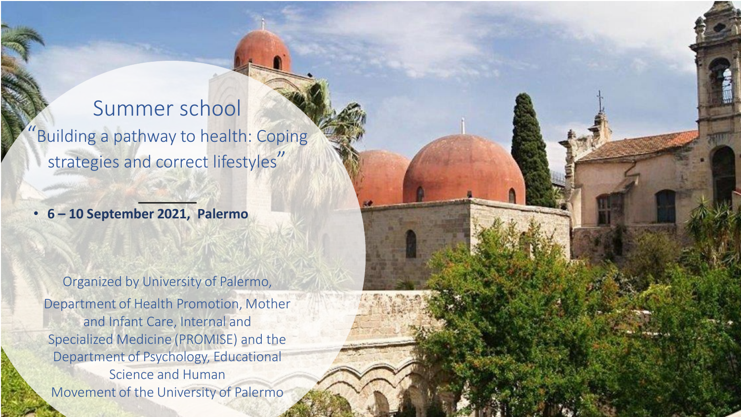Summer school Building a pathway to health: Coping strategies and correct lifestyles"

• **6 – 10 September 2021, Palermo**

Organized by University of Palermo, Department of Health Promotion, Mother and Infant Care, Internal and Specialized Medicine (PROMISE) and the Department of Psychology, Educational Science and Human Movement of the University of Palermo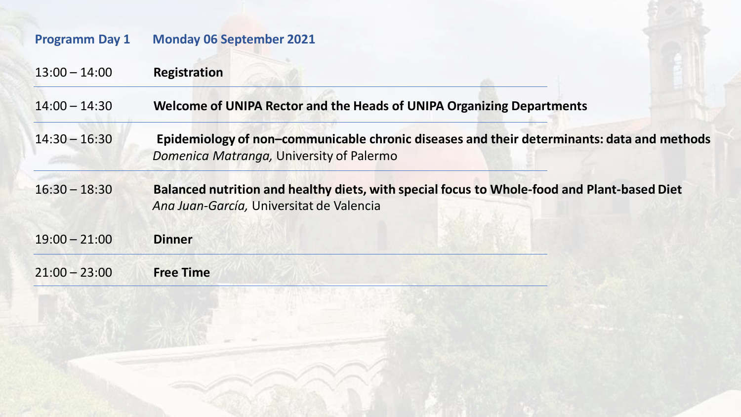| <b>Programm Day 1</b> | <b>Monday 06 September 2021</b>                                                                                                         |
|-----------------------|-----------------------------------------------------------------------------------------------------------------------------------------|
| $13:00 - 14:00$       | <b>Registration</b>                                                                                                                     |
| $14:00 - 14:30$       | Welcome of UNIPA Rector and the Heads of UNIPA Organizing Departments                                                                   |
| $14:30 - 16:30$       | Epidemiology of non-communicable chronic diseases and their determinants: data and methods<br>Domenica Matranga, University of Palermo  |
| $16:30 - 18:30$       | Balanced nutrition and healthy diets, with special focus to Whole-food and Plant-based Diet<br>Ana Juan-García, Universitat de Valencia |
| $19:00 - 21:00$       | <b>Dinner</b>                                                                                                                           |
| $21:00 - 23:00$       | <b>Free Time</b>                                                                                                                        |
|                       |                                                                                                                                         |
|                       |                                                                                                                                         |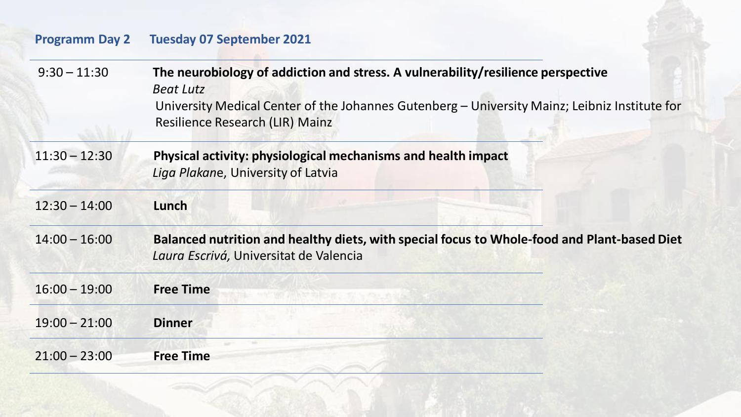# **Programm Day 2 Tuesday 07 September 2021**

| $9:30 - 11:30$  | The neurobiology of addiction and stress. A vulnerability/resilience perspective<br><b>Beat Lutz</b><br>University Medical Center of the Johannes Gutenberg - University Mainz; Leibniz Institute for<br><b>Resilience Research (LIR) Mainz</b> |
|-----------------|-------------------------------------------------------------------------------------------------------------------------------------------------------------------------------------------------------------------------------------------------|
| $11:30 - 12:30$ | Physical activity: physiological mechanisms and health impact<br>Liga Plakane, University of Latvia                                                                                                                                             |
| $12:30 - 14:00$ | Lunch                                                                                                                                                                                                                                           |
| $14:00 - 16:00$ | Balanced nutrition and healthy diets, with special focus to Whole-food and Plant-based Diet<br>Laura Escrivá, Universitat de Valencia                                                                                                           |
| $16:00 - 19:00$ | <b>Free Time</b>                                                                                                                                                                                                                                |
| $19:00 - 21:00$ | <b>Dinner</b>                                                                                                                                                                                                                                   |
| $21:00 - 23:00$ | <b>Free Time</b>                                                                                                                                                                                                                                |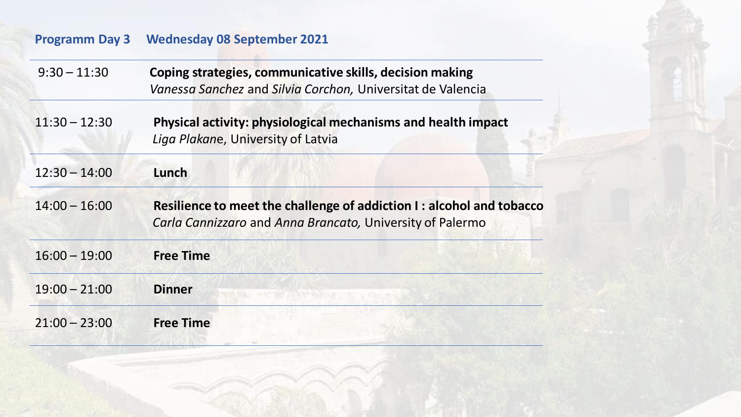# **Programm Day 3 Wednesday 08 September 2021**

| $9:30 - 11:30$  | Coping strategies, communicative skills, decision making<br>Vanessa Sanchez and Silvia Corchon, Universitat de Valencia            |
|-----------------|------------------------------------------------------------------------------------------------------------------------------------|
| $11:30 - 12:30$ | Physical activity: physiological mechanisms and health impact<br>Liga Plakane, University of Latvia                                |
| $12:30 - 14:00$ | Lunch                                                                                                                              |
| $14:00 - 16:00$ | Resilience to meet the challenge of addiction I : alcohol and tobacco<br>Carla Cannizzaro and Anna Brancato, University of Palermo |
| $16:00 - 19:00$ | <b>Free Time</b>                                                                                                                   |
| $19:00 - 21:00$ | <b>Dinner</b>                                                                                                                      |
| $21:00 - 23:00$ | <b>Free Time</b>                                                                                                                   |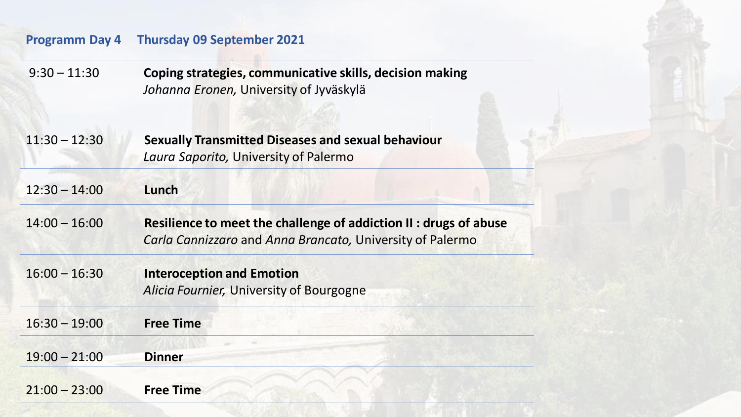### **Programm Day 4 Thursday 09 September 2021**

12:30 – 14:00 **Lunch**

9:30 – 11:30 **Coping strategies, communicative skills, decision making** *Johanna Eronen,* University of Jyväskylä

| $11:30 - 12:30$ | <b>Sexually Transmitted Diseases and sexual behaviour</b> |
|-----------------|-----------------------------------------------------------|
|                 | Laura Saporito, University of Palermo                     |
|                 |                                                           |

14:00 – 16:00 **Resilience to meet the challenge of addiction II : drugs of abuse** *Carla Cannizzaro* and *Anna Brancato,* University of Palermo

16:00 – 16:30 **Interoception and Emotion** *Alicia Fournier,* University of Bourgogne

| $16:30 - 19:00$ | <b>Free Time</b> |  |
|-----------------|------------------|--|
| $19:00 - 21:00$ | <b>Dinner</b>    |  |
| $21:00 - 23:00$ | <b>Free Time</b> |  |